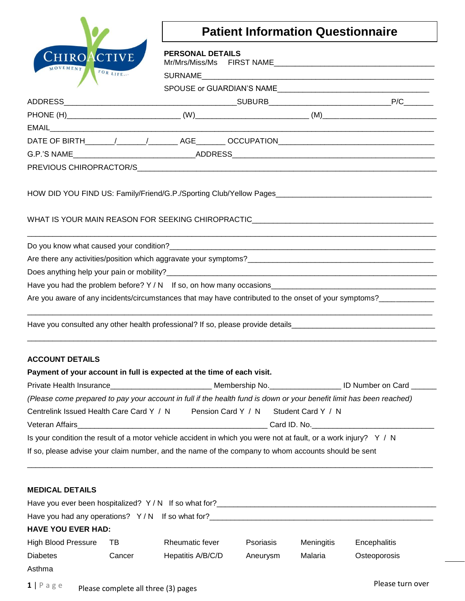

## **Patient Information Questionnaire**

| CHIROACTIVE                |        | <b>PERSONAL DETAILS</b>                                                                                              |           |                    |                    |
|----------------------------|--------|----------------------------------------------------------------------------------------------------------------------|-----------|--------------------|--------------------|
| MOVEMENT FOR LIFE          |        |                                                                                                                      |           |                    |                    |
|                            |        |                                                                                                                      |           |                    |                    |
|                            |        |                                                                                                                      |           |                    |                    |
|                            |        |                                                                                                                      |           |                    |                    |
|                            |        |                                                                                                                      |           |                    |                    |
|                            |        |                                                                                                                      |           |                    |                    |
|                            |        |                                                                                                                      |           |                    |                    |
|                            |        |                                                                                                                      |           |                    |                    |
|                            |        |                                                                                                                      |           |                    |                    |
|                            |        | WHAT IS YOUR MAIN REASON FOR SEEKING CHIROPRACTIC________________________________                                    |           |                    |                    |
|                            |        |                                                                                                                      |           |                    |                    |
|                            |        |                                                                                                                      |           |                    |                    |
|                            |        |                                                                                                                      |           |                    |                    |
|                            |        |                                                                                                                      |           |                    |                    |
|                            |        | Are you aware of any incidents/circumstances that may have contributed to the onset of your symptoms?                |           |                    |                    |
| <b>ACCOUNT DETAILS</b>     |        | Have you consulted any other health professional? If so, please provide details_______________________________       |           |                    |                    |
|                            |        | Payment of your account in full is expected at the time of each visit.                                               |           |                    |                    |
|                            |        | Private Health Insurance____________________________ Membership No.__                                                |           |                    | LID Number on Card |
|                            |        | (Please come prepared to pay your account in full if the health fund is down or your benefit limit has been reached) |           |                    |                    |
|                            |        | Centrelink Issued Health Care Card Y / N Pension Card Y / N                                                          |           | Student Card Y / N |                    |
|                            |        |                                                                                                                      |           |                    | Card ID. No. 1994  |
|                            |        | Is your condition the result of a motor vehicle accident in which you were not at fault, or a work injury? $Y / N$   |           |                    |                    |
|                            |        | If so, please advise your claim number, and the name of the company to whom accounts should be sent                  |           |                    |                    |
|                            |        |                                                                                                                      |           |                    |                    |
| <b>MEDICAL DETAILS</b>     |        |                                                                                                                      |           |                    |                    |
|                            |        |                                                                                                                      |           |                    |                    |
|                            |        |                                                                                                                      |           |                    |                    |
| <b>HAVE YOU EVER HAD:</b>  |        |                                                                                                                      |           |                    |                    |
| <b>High Blood Pressure</b> | TB     | Rheumatic fever                                                                                                      | Psoriasis | Meningitis         | Encephalitis       |
| <b>Diabetes</b>            | Cancer | Hepatitis A/B/C/D                                                                                                    | Aneurysm  | Malaria            | Osteoporosis       |

**1** | P a g e Please complete all three (3) pages

Asthma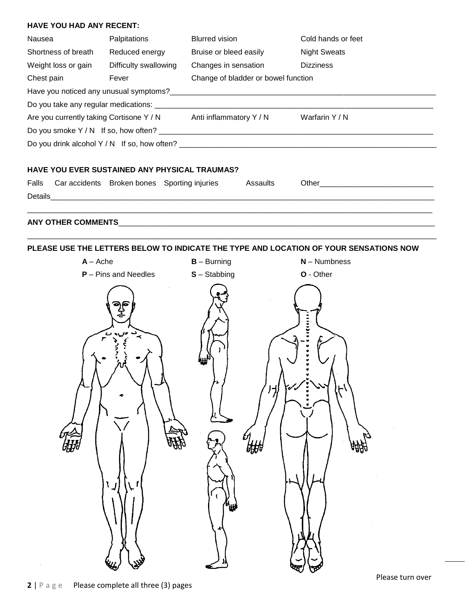## **HAVE YOU HAD ANY RECENT:**

| Nausea              | Palpitations                                                                                        | <b>Blurred vision</b>  |                                     | Cold hands or feet                                                                    |  |
|---------------------|-----------------------------------------------------------------------------------------------------|------------------------|-------------------------------------|---------------------------------------------------------------------------------------|--|
| Shortness of breath | Reduced energy                                                                                      | Bruise or bleed easily |                                     | <b>Night Sweats</b>                                                                   |  |
| Weight loss or gain | Difficulty swallowing                                                                               | Changes in sensation   |                                     | <b>Dizziness</b>                                                                      |  |
| Chest pain          | Fever                                                                                               |                        | Change of bladder or bowel function |                                                                                       |  |
|                     |                                                                                                     |                        |                                     |                                                                                       |  |
|                     |                                                                                                     |                        |                                     |                                                                                       |  |
|                     | Are you currently taking Cortisone Y / N Anti inflammatory Y / N<br>Warfarin Y / N                  |                        |                                     |                                                                                       |  |
|                     |                                                                                                     |                        |                                     |                                                                                       |  |
|                     |                                                                                                     |                        |                                     |                                                                                       |  |
|                     | HAVE YOU EVER SUSTAINED ANY PHYSICAL TRAUMAS?<br>Falls Car accidents Broken bones Sporting injuries |                        | Assaults                            |                                                                                       |  |
|                     |                                                                                                     |                        |                                     |                                                                                       |  |
|                     |                                                                                                     |                        |                                     |                                                                                       |  |
|                     |                                                                                                     |                        |                                     | PLEASE USE THE LETTERS BELOW TO INDICATE THE TYPE AND LOCATION OF YOUR SENSATIONS NOW |  |

| $A - A$ che                                       | $B - B$ urning     | $N -$ Numbness                                           |
|---------------------------------------------------|--------------------|----------------------------------------------------------|
| $P - P$ ins and Needles                           | $S -$ Stabbing     | O - Other                                                |
| ချင်<br>၁၉<br>مه من ماه<br>م<br>$\mathbf{I}$<br>ړ | 'n.<br>ا با<br>षी∰ | 11122222<br>v<br>$\overline{\mathcal{J}}$<br><b>ARBA</b> |

 $\mathcal{L}^{\text{max}}_{\text{max}}$